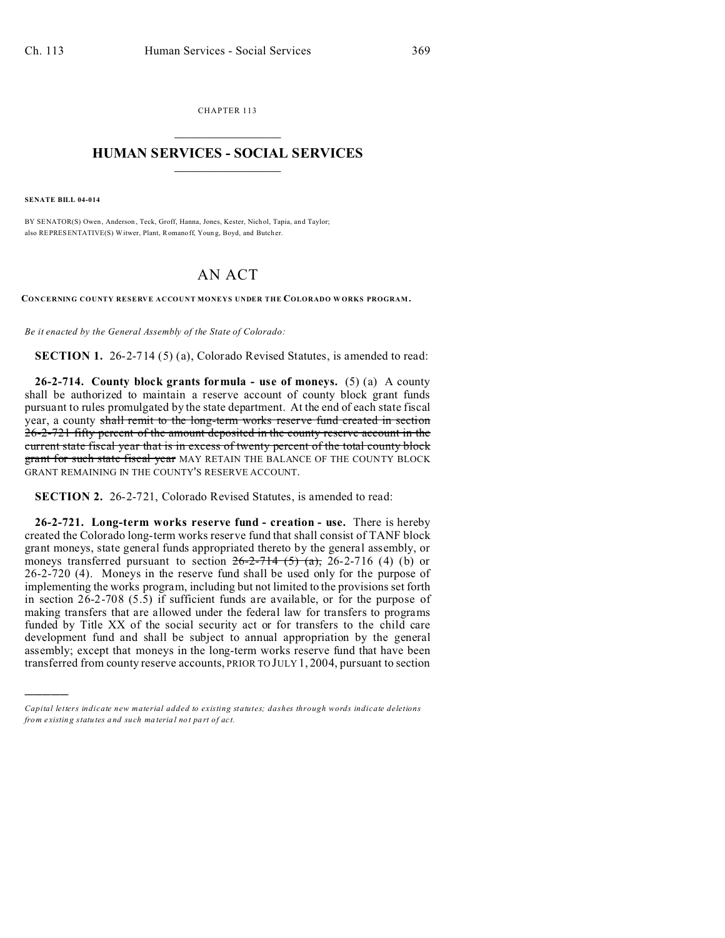CHAPTER 113  $\overline{\phantom{a}}$  , where  $\overline{\phantom{a}}$ 

## **HUMAN SERVICES - SOCIAL SERVICES**  $\frac{1}{2}$  ,  $\frac{1}{2}$  ,  $\frac{1}{2}$  ,  $\frac{1}{2}$  ,  $\frac{1}{2}$  ,  $\frac{1}{2}$

**SENATE BILL 04-014**

)))))

BY SENATOR(S) Owen, Anderson, Teck, Groff, Hanna, Jones, Kester, Nichol, Tapia, and Taylor; also REPRESENTATIVE(S) Witwer, Plant, Romanoff, Youn g, Boyd, and Butch er.

## AN ACT

**CONCERNING COUNTY RESERVE ACCOUNT MONEYS UNDER THE COLORADO W ORKS PROGRAM .**

*Be it enacted by the General Assembly of the State of Colorado:*

**SECTION 1.** 26-2-714 (5) (a), Colorado Revised Statutes, is amended to read:

**26-2-714. County block grants formula - use of moneys.** (5) (a) A county shall be authorized to maintain a reserve account of county block grant funds pursuant to rules promulgated by the state department. At the end of each state fiscal year, a county shall remit to the long-term works reserve fund created in section 26-2-721 fifty percent of the amount deposited in the county reserve account in the current state fiscal year that is in excess of twenty percent of the total county block grant for such state fiscal year MAY RETAIN THE BALANCE OF THE COUNTY BLOCK GRANT REMAINING IN THE COUNTY'S RESERVE ACCOUNT.

**SECTION 2.** 26-2-721, Colorado Revised Statutes, is amended to read:

**26-2-721. Long-term works reserve fund - creation - use.** There is hereby created the Colorado long-term works reserve fund that shall consist of TANF block grant moneys, state general funds appropriated thereto by the general assembly, or moneys transferred pursuant to section  $26-2-714$  (5)  $(a)$ , 26-2-716 (4) (b) or 26-2-720 (4). Moneys in the reserve fund shall be used only for the purpose of implementing the works program, including but not limited to the provisions set forth in section 26-2-708 (5.5) if sufficient funds are available, or for the purpose of making transfers that are allowed under the federal law for transfers to programs funded by Title XX of the social security act or for transfers to the child care development fund and shall be subject to annual appropriation by the general assembly; except that moneys in the long-term works reserve fund that have been transferred from county reserve accounts, PRIOR TO JULY 1, 2004, pursuant to section

*Capital letters indicate new material added to existing statutes; dashes through words indicate deletions from e xistin g statu tes a nd such ma teria l no t pa rt of ac t.*